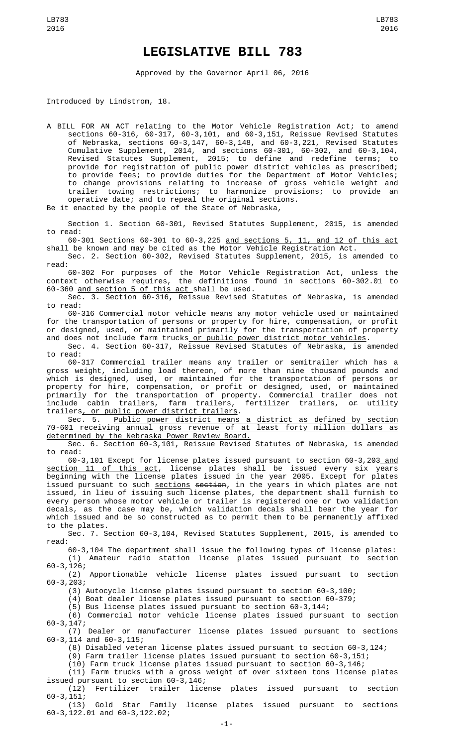## **LEGISLATIVE BILL 783**

Approved by the Governor April 06, 2016

Introduced by Lindstrom, 18.

A BILL FOR AN ACT relating to the Motor Vehicle Registration Act; to amend sections 60-316, 60-317, 60-3,101, and 60-3,151, Reissue Revised Statutes of Nebraska, sections 60-3,147, 60-3,148, and 60-3,221, Revised Statutes Cumulative Supplement, 2014, and sections 60-301, 60-302, and 60-3,104, Revised Statutes Supplement, 2015; to define and redefine terms; to provide for registration of public power district vehicles as prescribed; to provide fees; to provide duties for the Department of Motor Vehicles; to change provisions relating to increase of gross vehicle weight and trailer towing restrictions; to harmonize provisions; to provide an operative date; and to repeal the original sections.

Be it enacted by the people of the State of Nebraska,

Section 1. Section 60-301, Revised Statutes Supplement, 2015, is amended to read:

60-301 Sections 60-301 to 60-3,225 and sections 5, 11, and 12 of this act shall be known and may be cited as the Motor Vehicle Registration Act.

Sec. 2. Section 60-302, Revised Statutes Supplement, 2015, is amended to read:

60-302 For purposes of the Motor Vehicle Registration Act, unless the context otherwise requires, the definitions found in sections 60-302.01 to 60-360 and section 5 of this act shall be used.

Sec. 3. Section 60-316, Reissue Revised Statutes of Nebraska, is amended to read:

60-316 Commercial motor vehicle means any motor vehicle used or maintained for the transportation of persons or property for hire, compensation, or profit or designed, used, or maintained primarily for the transportation of property and does not include farm trucks<u> or public power district motor vehicles</u>.

Sec. 4. Section 60-317, Reissue Revised Statutes of Nebraska, is amended to read:

60-317 Commercial trailer means any trailer or semitrailer which has a gross weight, including load thereon, of more than nine thousand pounds and which is designed, used, or maintained for the transportation of persons or property for hire, compensation, or profit or designed, used, or maintained primarily for the transportation of property. Commercial trailer does not include cabin trailers, farm trailers, fertilizer trailers, <del>or</del> utility trailers, or public power district trailers.

Sec. 5. Public power district means a district as defined by section 70-601 receiving annual gross revenue of at least forty million dollars as determined by the Nebraska Power Review Board.

Sec. 6. Section 60-3,101, Reissue Revised Statutes of Nebraska, is amended to read:

60-3,101 Except for license plates issued pursuant to section 60-3,203 and section 11 of this act, license plates shall be issued every six years beginning with the license plates issued in the year 2005. Except for plates issued pursuant to such <u>sections</u> <del>section</del>, in the years in which plates are not issued, in lieu of issuing such license plates, the department shall furnish to every person whose motor vehicle or trailer is registered one or two validation decals, as the case may be, which validation decals shall bear the year for which issued and be so constructed as to permit them to be permanently affixed to the plates.

Sec. 7. Section 60-3,104, Revised Statutes Supplement, 2015, is amended to read:

60-3,104 The department shall issue the following types of license plates: Amateur radio station license plates issued pursuant to section

60-3,126; Apportionable vehicle license plates issued pursuant to section 60-3,203;

(3) Autocycle license plates issued pursuant to section 60-3,100;

(4) Boat dealer license plates issued pursuant to section 60-379;

(5) Bus license plates issued pursuant to section 60-3,144;

(6) Commercial motor vehicle license plates issued pursuant to section 60-3,147;

(7) Dealer or manufacturer license plates issued pursuant to sections 60-3,114 and 60-3,115;

(8) Disabled veteran license plates issued pursuant to section 60-3,124;

(9) Farm trailer license plates issued pursuant to section 60-3,151;

(10) Farm truck license plates issued pursuant to section 60-3,146;

(11) Farm trucks with a gross weight of over sixteen tons license plates issued pursuant to section 60-3,146;

(12) Fertilizer trailer license plates issued pursuant to section 60-3,151;

Gold Star Family license plates issued pursuant to sections 60-3,122.01 and 60-3,122.02;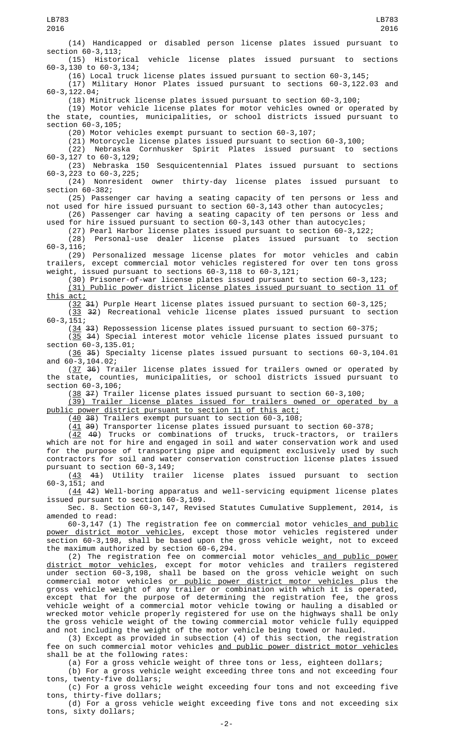(14) Handicapped or disabled person license plates issued pursuant to section 60-3,113;

(15) Historical vehicle license plates issued pursuant to sections 60-3,130 to 60-3,134;

(16) Local truck license plates issued pursuant to section 60-3,145; (17) Military Honor Plates issued pursuant to sections 60-3,122.03 and 60-3,122.04;

(18) Minitruck license plates issued pursuant to section 60-3,100;

(19) Motor vehicle license plates for motor vehicles owned or operated by the state, counties, municipalities, or school districts issued pursuant to section 60-3,105;

(20) Motor vehicles exempt pursuant to section 60-3,107;

(21) Motorcycle license plates issued pursuant to section 60-3,100;

(22) Nebraska Cornhusker Spirit Plates issued pursuant to sections 60-3,127 to 60-3,129;

(23) Nebraska 150 Sesquicentennial Plates issued pursuant to sections 60-3,223 to 60-3,225;

(24) Nonresident owner thirty-day license plates issued pursuant to section 60-382;

(25) Passenger car having a seating capacity of ten persons or less and not used for hire issued pursuant to section 60-3,143 other than autocycles;

(26) Passenger car having a seating capacity of ten persons or less and used for hire issued pursuant to section 60-3,143 other than autocycles;

(27) Pearl Harbor license plates issued pursuant to section 60-3,122; (28) Personal-use dealer license plates issued pursuant 60-3,116;

(29) Personalized message license plates for motor vehicles and cabin trailers, except commercial motor vehicles registered for over ten tons gross weight, issued pursuant to sections 60-3,118 to 60-3,121;

(30) Prisoner-of-war license plates issued pursuant to section 60-3,123; (31) Public power district license plates issued pursuant to section 11 of <u>this act;</u>

 $(32 \t31)$  Purple Heart license plates issued pursuant to section 60-3,125;

(33 32) Recreational vehicle license plates issued pursuant to section 60-3,151;

(34 33) Repossession license plates issued pursuant to section 60-375;

(35 34) Special interest motor vehicle license plates issued pursuant to section 60-3,135.01;

(36 35) Specialty license plates issued pursuant to sections 60-3,104.01 and 60-3,104.02;

(37 36) Trailer license plates issued for trailers owned or operated by the state, counties, municipalities, or school districts issued pursuant to section 60-3,106;

(38 37) Trailer license plates issued pursuant to section 60-3,100;

(39) Trailer license plates issued for trailers owned or operated by a public power district pursuant to section 11 of this act;

(40 38) Trailers exempt pursuant to section 60-3,108;

(41 39) Transporter license plates issued pursuant to section 60-378;

(<u>42</u> 4<del>0</del>) Trucks or combinations of trucks, truck-tractors, or trailers which are not for hire and engaged in soil and water conservation work and used for the purpose of transporting pipe and equipment exclusively used by such contractors for soil and water conservation construction license plates issued

pursuant to section  $60-3,149$ ;<br>( $43$   $44$ ) Utility trail Utility trailer license plates issued pursuant to section 60-3,151; and

(44 42) Well-boring apparatus and well-servicing equipment license plates issued pursuant to section 60-3,109.

Sec. 8. Section 60-3,147, Revised Statutes Cumulative Supplement, 2014, is amended to read:

60-3,147 (1) The registration fee on commercial motor vehicles and public power district motor vehicles, except those motor vehicles registered under section 60-3,198, shall be based upon the gross vehicle weight, not to exceed the maximum authorized by section 60-6,294.

(2) The registration fee on commercial motor vehicles and public power district motor vehicles, except for motor vehicles and trailers registered under section 60-3,198, shall be based on the gross vehicle weight on such commercial motor vehicles or public power district motor vehicles plus the gross vehicle weight of any trailer or combination with which it is operated, except that for the purpose of determining the registration fee, the gross vehicle weight of a commercial motor vehicle towing or hauling a disabled or wrecked motor vehicle properly registered for use on the highways shall be only the gross vehicle weight of the towing commercial motor vehicle fully equipped and not including the weight of the motor vehicle being towed or hauled.

(3) Except as provided in subsection (4) of this section, the registration fee on such commercial motor vehicles and public power district motor vehicles shall be at the following rates:

(a) For a gross vehicle weight of three tons or less, eighteen dollars;

(b) For a gross vehicle weight exceeding three tons and not exceeding four tons, twenty-five dollars;

(c) For a gross vehicle weight exceeding four tons and not exceeding five  $\overline{\ }$ t $\overline{\ }$ thirty-five dollars;

(d) For a gross vehicle weight exceeding five tons and not exceeding six tons, sixty dollars;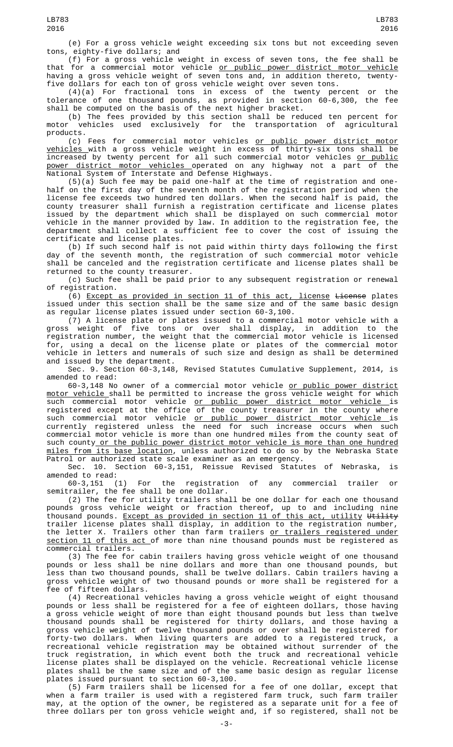(e) For a gross vehicle weight exceeding six tons but not exceeding seven tons, eighty-five dollars; and

(f) For a gross vehicle weight in excess of seven tons, the fee shall be that for a commercial motor vehicle or public power district motor vehicle having a gross vehicle weight of seven tons and, in addition thereto, twentyfive dollars for each ton of gross vehicle weight over seven tons.

(4)(a) For fractional tons in excess of the twenty percent or the tolerance of one thousand pounds, as provided in section 60-6,300, the fee shall be computed on the basis of the next higher bracket.

(b) The fees provided by this section shall be reduced ten percent for<br>motor vehicles used exclusively for the transportation of agricultural vehicles used exclusively for the transportation of agricultural products.

(c) Fees for commercial motor vehicles or public power district motor vehicles with a gross vehicle weight in excess of thirty-six tons shall be increased by twenty percent for all such commercial motor vehicles <u>or public</u> power district motor vehicles operated on any highway not a part of the National System of Interstate and Defense Highways.

(5)(a) Such fee may be paid one-half at the time of registration and onehalf on the first day of the seventh month of the registration period when the license fee exceeds two hundred ten dollars. When the second half is paid, the county treasurer shall furnish a registration certificate and license plates issued by the department which shall be displayed on such commercial motor vehicle in the manner provided by law. In addition to the registration fee, the department shall collect a sufficient fee to cover the cost of issuing the certificate and license plates.

(b) If such second half is not paid within thirty days following the first day of the seventh month, the registration of such commercial motor vehicle shall be canceled and the registration certificate and license plates shall be returned to the county treasurer.

(c) Such fee shall be paid prior to any subsequent registration or renewal of registration.

(6) Except as provided in section 11 of this act, license License plates issued under this section shall be the same size and of the same basic design as regular license plates issued under section 60-3,100.

(7) A license plate or plates issued to a commercial motor vehicle with a weight of five tons or over shall display, in addition to registration number, the weight that the commercial motor vehicle is licensed for, using a decal on the license plate or plates of the commercial motor vehicle in letters and numerals of such size and design as shall be determined and issued by the department.

Sec. 9. Section 60-3,148, Revised Statutes Cumulative Supplement, 2014, is amended to read:

60-3,148 No owner of a commercial motor vehicle or public power district <u>motor vehicle </u>shall be permitted to increase the gross vehicle weight for which such commercial motor vehicle <u>or public power district motor vehicle i</u>s registered except at the office of the county treasurer in the county where such commercial motor vehicle <u>or public power district motor vehicle </u>is currently registered unless the need for such increase occurs when such commercial motor vehicle is more than one hundred miles from the county seat of such county or the public power district motor vehicle is more than one hundred miles from its base location, unless authorized to do so by the Nebraska State Patrol or authorized state scale examiner as an emergency.

Sec. 10. Section 60-3,151, Reissue Revised Statutes of Nebraska, is amended to read:<br> $60-3,151$  (1)

For the registration of any commercial trailer or semitrailer, the fee shall be one dollar.

(2) The fee for utility trailers shall be one dollar for each one thousand pounds gross vehicle weight or fraction thereof, up to and including nine thousand pounds. <u>Except as provided in section 11 of this act, utility</u> <del>Utility</del> trailer license plates shall display, in addition to the registration number, the letter X. Trailers other than farm trailers <u>or trailers registered under</u> section 11 of this act of more than nine thousand pounds must be registered as commercial trailers.

(3) The fee for cabin trailers having gross vehicle weight of one thousand pounds or less shall be nine dollars and more than one thousand pounds, but less than two thousand pounds, shall be twelve dollars. Cabin trailers having a gross vehicle weight of two thousand pounds or more shall be registered for a fee of fifteen dollars.

(4) Recreational vehicles having a gross vehicle weight of eight thousand pounds or less shall be registered for a fee of eighteen dollars, those having a gross vehicle weight of more than eight thousand pounds but less than twelve thousand pounds shall be registered for thirty dollars, and those having a gross vehicle weight of twelve thousand pounds or over shall be registered for forty-two dollars. When living quarters are added to a registered truck, a recreational vehicle registration may be obtained without surrender of the truck registration, in which event both the truck and recreational vehicle license plates shall be displayed on the vehicle. Recreational vehicle license plates shall be the same size and of the same basic design as regular license plates issued pursuant to section 60-3,100.

(5) Farm trailers shall be licensed for a fee of one dollar, except that when a farm trailer is used with a registered farm truck, such farm trailer may, at the option of the owner, be registered as a separate unit for a fee of three dollars per ton gross vehicle weight and, if so registered, shall not be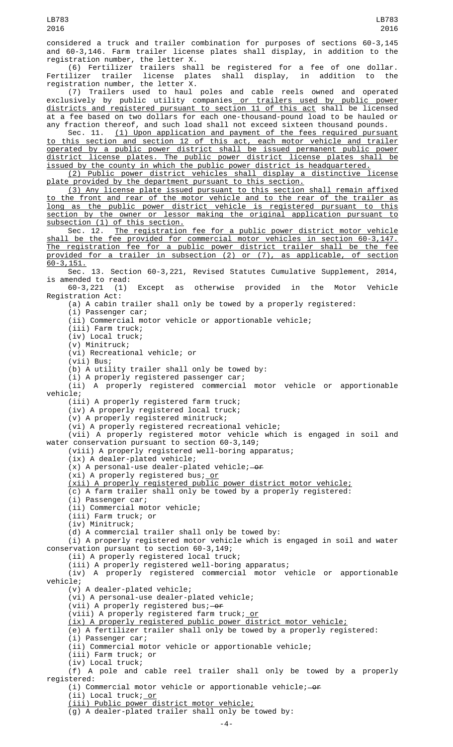(6) Fertilizer trailers shall be registered for a fee of one dollar. Fertilizer trailer license plates shall display, in addition to the registration number, the letter X.

(7) Trailers used to haul poles and cable reels owned and operated exclusively by public utility companies<u> or trailers used by public power</u> districts and registered pursuant to section 11 of this act shall be licensed at a fee based on two dollars for each one-thousand-pound load to be hauled or any fraction thereof, and such load shall not exceed sixteen thousand pounds.

Sec. 11. (1) Upon application and payment of the fees required pursuant to this section and section 12 of this act, each motor vehicle and trailer operated by a public power district shall be issued permanent public power district license plates. The public power district license plates shall be issued by the county in which the public power district is headquartered.

(2) Public power district vehicles shall display a distinctive license plate provided by the department pursuant to this section.

(3) Any license plate issued pursuant to this section shall remain affixed to the front and rear of the motor vehicle and to the rear of the trailer as long as the public power district vehicle is registered pursuant to this section by the owner or lessor making the original application pursuant to subsection (1) of this section.

Sec. 12. The registration fee for a public power district motor vehicle shall be the fee provided for commercial motor vehicles in section 60-3,147. The registration fee for a public power district trailer shall be the fee provided for a trailer in subsection (2) or (7), as applicable, of section 60-3,151.

Sec. 13. Section 60-3,221, Revised Statutes Cumulative Supplement, 2014, is amended to read:<br>60-3,221 (1)

Except as otherwise provided in the Motor Vehicle Registration Act:

(a) A cabin trailer shall only be towed by a properly registered:

(i) Passenger car;

(ii) Commercial motor vehicle or apportionable vehicle;

(iii) Farm truck;

(iv) Local truck;

(v) Minitruck; (vi) Recreational vehicle; or

 $(vii)$  Bus;

(b) A utility trailer shall only be towed by:

(i) A properly registered passenger car;

(ii) A properly registered commercial motor vehicle or apportionable vehicle;

(iii) A properly registered farm truck;

(iv) A properly registered local truck; (v) A properly registered minitruck;

(vi) A properly registered recreational vehicle;

(vii) A properly registered motor vehicle which is engaged in soil and water conservation pursuant to section 60-3,149;

(viii) A properly registered well-boring apparatus;

(ix) A dealer-plated vehicle;

 $(x)$  A personal-use dealer-plated vehicle; - or

(xi) A properly registered bus; <u>or</u>

(xii) A properly registered public power district motor vehicle;

(c) A farm trailer shall only be towed by a properly registered:

(i) Passenger car;

(ii) Commercial motor vehicle;

(iii) Farm truck; or

(iv) Minitruck;

(d) A commercial trailer shall only be towed by:

(i) A properly registered motor vehicle which is engaged in soil and water conservation pursuant to section 60-3,149;

(ii) A properly registered local truck;

(iii) A properly registered well-boring apparatus; (iv) A properly registered commercial motor vehicle or apportionable vehicle;

(v) A dealer-plated vehicle;

(vi) A personal-use dealer-plated vehicle;

(vii) A properly registered bus; $-$ or

(viii) A properly registered farm truck; <u>or</u>

(ix) A properly registered public power district motor vehicle;

(e) A fertilizer trailer shall only be towed by a properly registered:

(i) Passenger car;

(ii) Commercial motor vehicle or apportionable vehicle;

(iii) Farm truck; or

(iv) Local truck;

(f) A pole and cable reel trailer shall only be towed by a properly registered:

(i) Commercial motor vehicle or apportionable vehicle; $-$ or

(ii) Local truck; <u>or</u>

(iii) Public power district motor vehicle;

(g) A dealer-plated trailer shall only be towed by: